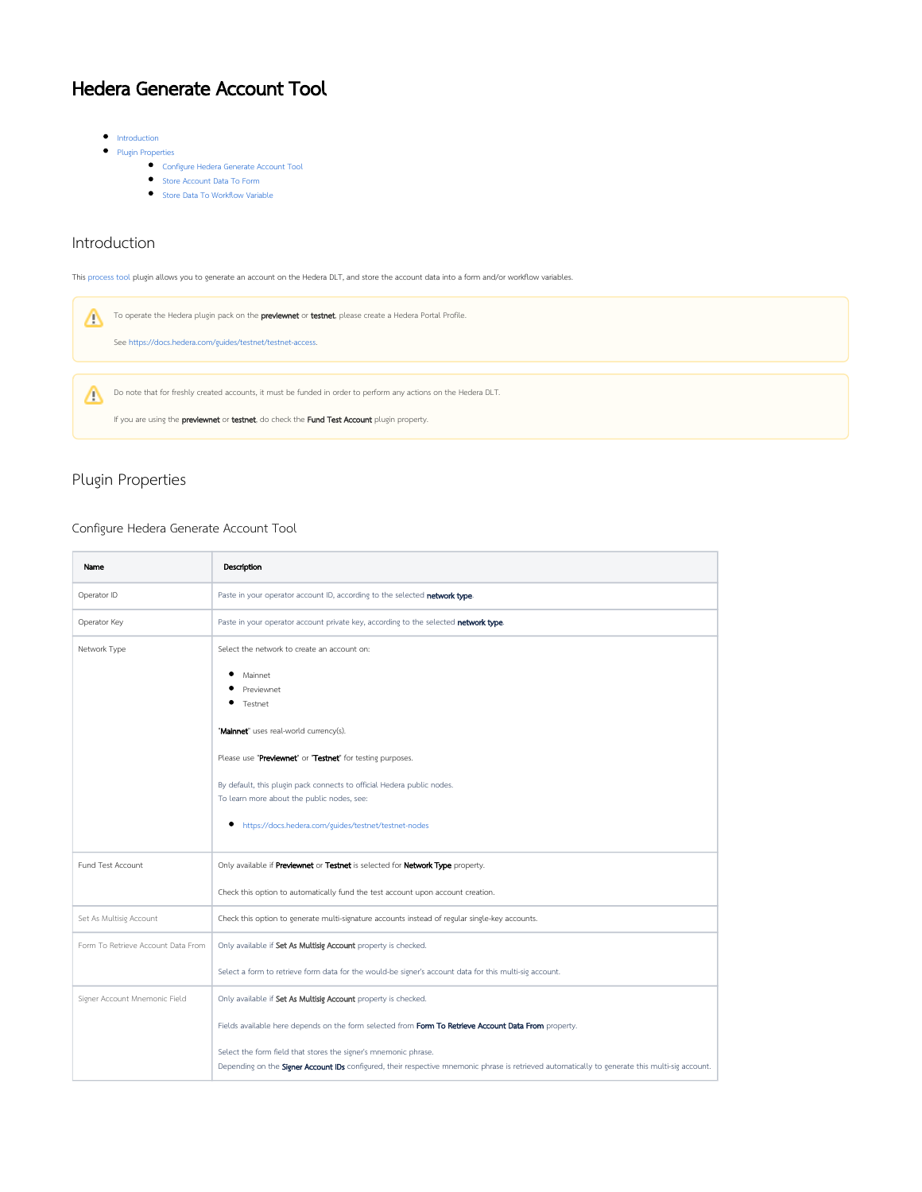# Hedera Generate Account Tool

- $\bullet$  [Introduction](#page-0-0)
- **•** [Plugin Properties](#page-0-1)
	- [Configure Hedera Generate Account Tool](#page-0-2)
	- [Store Account Data To Form](#page-1-0)
	- **[Store Data To Workflow Variable](#page-1-1)**

# <span id="page-0-0"></span>Introduction

This [process tool](https://dev.joget.org/community/display/DX7/Map+Tools+to+Plugins) plugin allows you to generate an account on the Hedera DLT, and store the account data into a form and/or workflow variables.



# <span id="page-0-1"></span>Plugin Properties

#### <span id="page-0-2"></span>Configure Hedera Generate Account Tool

| Name                               | Description                                                                                                                                                                                                               |
|------------------------------------|---------------------------------------------------------------------------------------------------------------------------------------------------------------------------------------------------------------------------|
| Operator ID                        | Paste in your operator account ID, according to the selected network type.                                                                                                                                                |
| Operator Key                       | Paste in your operator account private key, according to the selected network type.                                                                                                                                       |
| Network Type                       | Select the network to create an account on:                                                                                                                                                                               |
|                                    | Mainnet<br>Previewnet<br>Testnet                                                                                                                                                                                          |
|                                    | "Mainnet" uses real-world currency(s).                                                                                                                                                                                    |
|                                    | Please use "Previewnet" or "Testnet" for testing purposes.                                                                                                                                                                |
|                                    | By default, this plugin pack connects to official Hedera public nodes.<br>To learn more about the public nodes, see:                                                                                                      |
|                                    | ٠<br>https://docs.hedera.com/guides/testnet/testnet-nodes                                                                                                                                                                 |
| Fund Test Account                  | Only available if Previewnet or Testnet is selected for Network Type property.                                                                                                                                            |
|                                    | Check this option to automatically fund the test account upon account creation.                                                                                                                                           |
| Set As Multisig Account            | Check this option to generate multi-signature accounts instead of regular single-key accounts.                                                                                                                            |
| Form To Retrieve Account Data From | Only available if Set As Multisig Account property is checked.                                                                                                                                                            |
|                                    | Select a form to retrieve form data for the would-be signer's account data for this multi-sig account.                                                                                                                    |
| Signer Account Mnemonic Field      | Only available if Set As Multisig Account property is checked.                                                                                                                                                            |
|                                    | Fields available here depends on the form selected from Form To Retrieve Account Data From property.                                                                                                                      |
|                                    | Select the form field that stores the signer's mnemonic phrase.<br>Depending on the <b>Signer Account IDs</b> configured, their respective mnemonic phrase is retrieved automatically to generate this multi-sig account. |